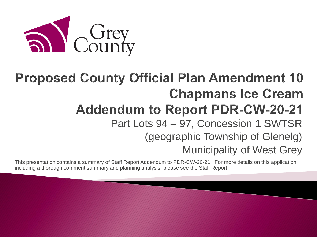

#### **Proposed County Official Plan Amendment 10 Chapmans Ice Cream Addendum to Report PDR-CW-20-21** Part Lots 94 – 97, Concession 1 SWTSR (geographic Township of Glenelg) Municipality of West Grey

This presentation contains a summary of Staff Report Addendum to PDR-CW-20-21. For more details on this application, including a thorough comment summary and planning analysis, please see the Staff Report.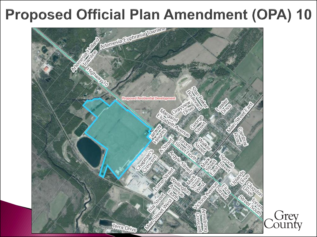### **Proposed Official Plan Amendment (OPA) 10**

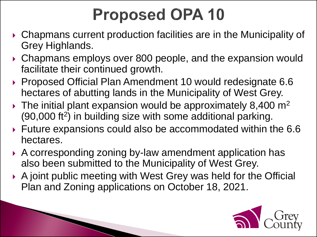### **Proposed OPA 10**

- Chapmans current production facilities are in the Municipality of Grey Highlands.
- ▶ Chapmans employs over 800 people, and the expansion would facilitate their continued growth.
- ▶ Proposed Official Plan Amendment 10 would redesignate 6.6 hectares of abutting lands in the Municipality of West Grey.
- $\blacktriangleright$  The initial plant expansion would be approximately 8,400 m<sup>2</sup> (90,000 ft<sup>2</sup>) in building size with some additional parking.
- Future expansions could also be accommodated within the 6.6 hectares.
- A corresponding zoning by-law amendment application has also been submitted to the Municipality of West Grey.

 A joint public meeting with West Grey was held for the Official Plan and Zoning applications on October 18, 2021.

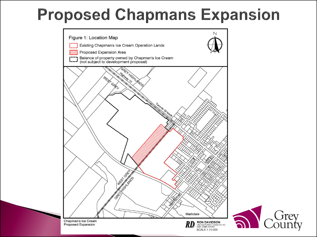### **Proposed Chapmans Expansion**



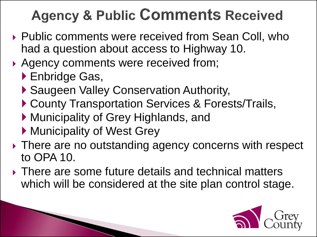### **Agency & Public Comments Received**

- ▶ Public comments were received from Sean Coll, who had a question about access to Highway 10.
- Agency comments were received from;
	- ▶ Enbridge Gas,
	- ▶ Saugeen Valley Conservation Authority,
	- ▶ County Transportation Services & Forests/Trails,
	- Municipality of Grey Highlands, and
	- **Municipality of West Grey**

The Company of the Company of

- ▶ There are no outstanding agency concerns with respect to OPA 10.
- There are some future details and technical matters which will be considered at the site plan control stage.

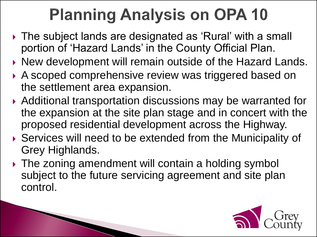# **Planning Analysis on OPA 10**

- ▶ The subject lands are designated as 'Rural' with a small portion of 'Hazard Lands' in the County Official Plan.
- ▶ New development will remain outside of the Hazard Lands.
- ▶ A scoped comprehensive review was triggered based on the settlement area expansion.
- Additional transportation discussions may be warranted for the expansion at the site plan stage and in concert with the proposed residential development across the Highway.
- ▶ Services will need to be extended from the Municipality of Grey Highlands.
- ▶ The zoning amendment will contain a holding symbol subject to the future servicing agreement and site plan control.

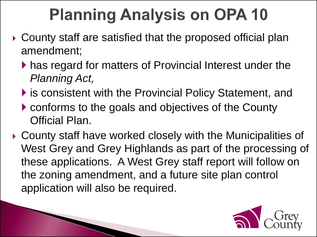# **Planning Analysis on OPA 10**

- County staff are satisfied that the proposed official plan amendment;
	- has regard for matters of Provincial Interest under the *Planning Act,*
	- ▶ is consistent with the Provincial Policy Statement, and
	- conforms to the goals and objectives of the County Official Plan.

 County staff have worked closely with the Municipalities of West Grey and Grey Highlands as part of the processing of these applications. A West Grey staff report will follow on the zoning amendment, and a future site plan control application will also be required.